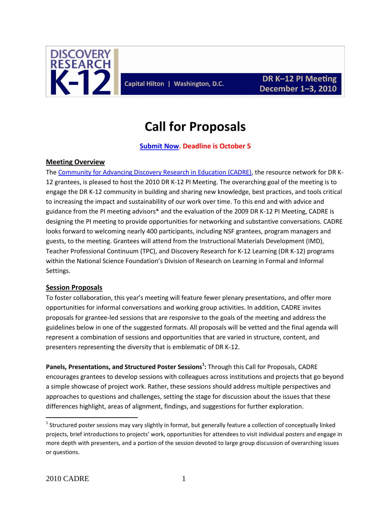

Capital Hilton | Washington, D.C.

# **Call for Proposals**

### **[Submit Now.](http://www.surveymonkey.com/s/QZCGFGD) Deadline is October 5**

#### **Meeting Overview**

The [Community for Advancing Discovery Research in Education \(CADRE\),](http://cadrek12.org/about-cadre) the resource network for DR K-12 grantees, is pleased to host the 2010 DR K-12 PI Meeting. The overarching goal of the meeting is to engage the DR K-12 community in building and sharing new knowledge, best practices, and tools critical to increasing the impact and sustainability of our work over time. To this end and with advice and guidance from the PI meeting advisors\* and the evaluation of the 2009 DR K-12 PI Meeting, CADRE is designing the PI meeting to provide opportunities for networking and substantive conversations. CADRE looks forward to welcoming nearly 400 participants, including NSF grantees, program managers and guests, to the meeting. Grantees will attend from the Instructional Materials Development (IMD), Teacher Professional Continuum (TPC), and Discovery Research for K-12 Learning (DR K-12) programs within the National Science Foundation's Division of Research on Learning in Formal and Informal Settings.

#### **Session Proposals**

To foster collaboration, this year's meeting will feature fewer plenary presentations, and offer more opportunities for informal conversations and working group activities. In addition, CADRE invites proposals for grantee-led sessions that are responsive to the goals of the meeting and address the guidelines below in one of the suggested formats. All proposals will be vetted and the final agenda will represent a combination of sessions and opportunities that are varied in structure, content, and presenters representing the diversity that is emblematic of DR K-12.

**Panels, Presentations, and Structured Poster Sessions<sup>1</sup> :** Through this Call for Proposals, CADRE encourages grantees to develop sessions with colleagues across institutions and projects that go beyond a simple showcase of project work. Rather, these sessions should address multiple perspectives and approaches to questions and challenges, setting the stage for discussion about the issues that these differences highlight, areas of alignment, findings, and suggestions for further exploration.

 $\overline{a}$ 

 $^1$  Structured poster sessions may vary slightly in format, but generally feature a collection of conceptually linked projects, brief introductions to projects' work, opportunities for attendees to visit individual posters and engage in more depth with presenters, and a portion of the session devoted to large group discussion of overarching issues or questions.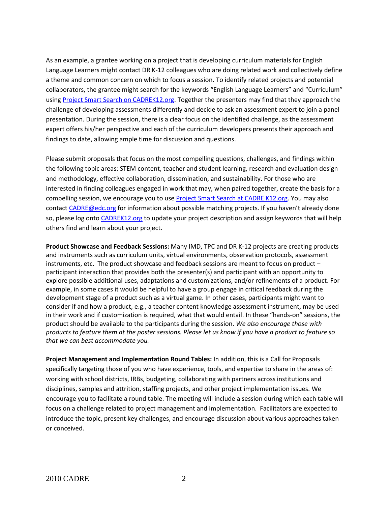As an example, a grantee working on a project that is developing curriculum materials for English Language Learners might contact DR K-12 colleagues who are doing related work and collectively define a theme and common concern on which to focus a session. To identify related projects and potential collaborators, the grantee might search for the keywords "English Language Learners" and "Curriculum" using [Project Smart Search on CADREK12.org.](http://cadrek12.org/project-smart-search) Together the presenters may find that they approach the challenge of developing assessments differently and decide to ask an assessment expert to join a panel presentation. During the session, there is a clear focus on the identified challenge, as the assessment expert offers his/her perspective and each of the curriculum developers presents their approach and findings to date, allowing ample time for discussion and questions.

Please submit proposals that focus on the most compelling questions, challenges, and findings within the following topic areas: STEM content, teacher and student learning, research and evaluation design and methodology, effective collaboration, dissemination, and sustainability. For those who are interested in finding colleagues engaged in work that may, when paired together, create the basis for a compelling session, we encourage you to use [Project Smart Search at CADRE K12.org.](http://cadrek12.org/project-smart-search) You may also contact [CADRE@edc.org](mailto:CADRE@edc.org) for information about possible matching projects. If you haven't already done so, please log onto [CADREK12.org](http://cadrek12.org/) to update your project description and assign keywords that will help others find and learn about your project.

**Product Showcase and Feedback Sessions:** Many IMD, TPC and DR K-12 projects are creating products and instruments such as curriculum units, virtual environments, observation protocols, assessment instruments, etc. The product showcase and feedback sessions are meant to focus on product – participant interaction that provides both the presenter(s) and participant with an opportunity to explore possible additional uses, adaptations and customizations, and/or refinements of a product. For example, in some cases it would be helpful to have a group engage in critical feedback during the development stage of a product such as a virtual game. In other cases, participants might want to consider if and how a product, e.g., a teacher content knowledge assessment instrument, may be used in their work and if customization is required, what that would entail. In these "hands-on" sessions, the product should be available to the participants during the session. *We also encourage those with products to feature them at the poster sessions. Please let us know if you have a product to feature so that we can best accommodate you.*

**Project Management and Implementation Round Tables:** In addition, this is a Call for Proposals specifically targeting those of you who have experience, tools, and expertise to share in the areas of: working with school districts, IRBs, budgeting, collaborating with partners across institutions and disciplines, samples and attrition, staffing projects, and other project implementation issues. We encourage you to facilitate a round table. The meeting will include a session during which each table will focus on a challenge related to project management and implementation. Facilitators are expected to introduce the topic, present key challenges, and encourage discussion about various approaches taken or conceived.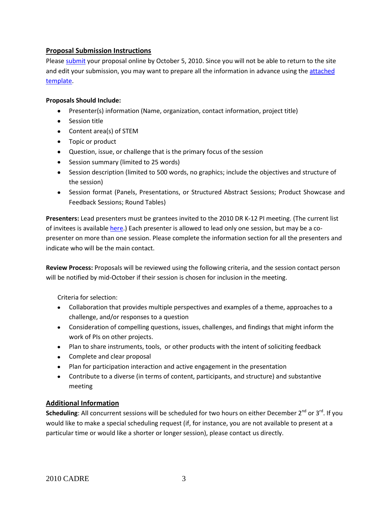#### **Proposal Submission Instructions**

Please [submit](http://www.surveymonkey.com/s/QZCGFGD) your proposal online by October 5, 2010. Since you will not be able to return to the site and edit your submission, you may want to prepare all the information in advance using th[e attached](http://www.cadrek12.org/sites/default/files/2010%20DR%20K-12%20PI%20Meeting%20Session%20Proposal%20Template.pdf)  [template.](http://www.cadrek12.org/sites/default/files/2010%20DR%20K-12%20PI%20Meeting%20Session%20Proposal%20Template.pdf)

#### **Proposals Should Include:**

- Presenter(s) information (Name, organization, contact information, project title)
- Session title
- Content area(s) of STEM
- Topic or product
- Question, issue, or challenge that is the primary focus of the session
- Session summary (limited to 25 words)
- Session description (limited to 500 words, no graphics; include the objectives and structure of the session)
- Session format (Panels, Presentations, or Structured Abstract Sessions; Product Showcase and Feedback Sessions; Round Tables)

**Presenters:** Lead presenters must be grantees invited to the 2010 DR K-12 PI meeting. (The current list of invitees is available [here.](http://cadrek12.org/sites/default/files/2010%20DR%20K-12%20PI%20Meeting%20Invited%20Projects.pdf)) Each presenter is allowed to lead only one session, but may be a copresenter on more than one session. Please complete the information section for all the presenters and indicate who will be the main contact.

**Review Process:** Proposals will be reviewed using the following criteria, and the session contact person will be notified by mid-October if their session is chosen for inclusion in the meeting.

Criteria for selection:

- Collaboration that provides multiple perspectives and examples of a theme, approaches to a challenge, and/or responses to a question
- Consideration of compelling questions, issues, challenges, and findings that might inform the work of PIs on other projects.
- Plan to share instruments, tools, or other products with the intent of soliciting feedback
- Complete and clear proposal
- Plan for participation interaction and active engagement in the presentation
- Contribute to a diverse (in terms of content, participants, and structure) and substantive meeting

#### **Additional Information**

Scheduling: All concurrent sessions will be scheduled for two hours on either December 2<sup>nd</sup> or 3<sup>rd</sup>. If you would like to make a special scheduling request (if, for instance, you are not available to present at a particular time or would like a shorter or longer session), please contact us directly.